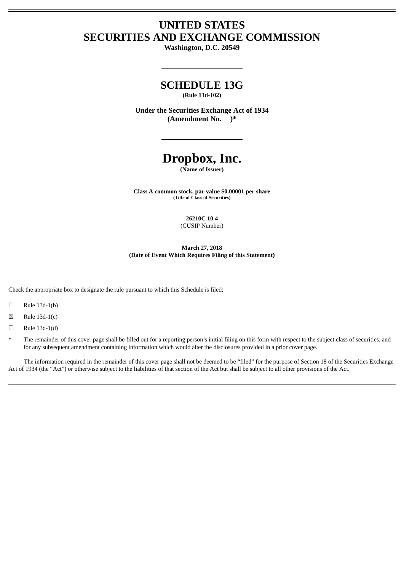# **UNITED STATES SECURITIES AND EXCHANGE COMMISSION**

**Washington, D.C. 20549**

# **SCHEDULE 13G**

**(Rule 13d-102)**

**Under the Securities Exchange Act of 1934 (Amendment No. )\***

# **Dropbox, Inc.**

**(Name of Issuer)**

**Class A common stock, par value \$0.00001 per share (Title of Class of Securities)**

> **26210C 10 4** (CUSIP Number)

**March 27, 2018 (Date of Event Which Requires Filing of this Statement)**

Check the appropriate box to designate the rule pursuant to which this Schedule is filed:

 $\square$  Rule 13d-1(b)

 $\boxtimes$  Rule 13d-1(c)

 $\Box$  Rule 13d-1(d)

The remainder of this cover page shall be filled out for a reporting person's initial filing on this form with respect to the subject class of securities, and for any subsequent amendment containing information which would alter the disclosures provided in a prior cover page.

The information required in the remainder of this cover page shall not be deemed to be "filed" for the purpose of Section 18 of the Securities Exchange Act of 1934 (the "Act") or otherwise subject to the liabilities of that section of the Act but shall be subject to all other provisions of the Act.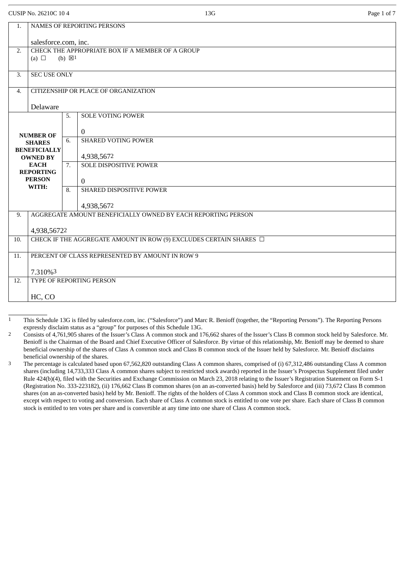| CUSIP No. 26210C 10 4 |
|-----------------------|
|                       |

HC, CO

|     | CUSIP No. 26210C 10 4                                                   |                   |                                                              | Page 1 of 7<br>13G |
|-----|-------------------------------------------------------------------------|-------------------|--------------------------------------------------------------|--------------------|
| 1.  |                                                                         |                   | NAMES OF REPORTING PERSONS                                   |                    |
|     | salesforce.com, inc.                                                    |                   |                                                              |                    |
| 2.  |                                                                         |                   | CHECK THE APPROPRIATE BOX IF A MEMBER OF A GROUP             |                    |
|     | (a) $\Box$                                                              | (b) $\boxtimes$ 1 |                                                              |                    |
| 3.  | <b>SEC USE ONLY</b>                                                     |                   |                                                              |                    |
| 4.  |                                                                         |                   | CITIZENSHIP OR PLACE OF ORGANIZATION                         |                    |
|     | Delaware                                                                |                   |                                                              |                    |
|     |                                                                         | 5.                | <b>SOLE VOTING POWER</b>                                     |                    |
|     | <b>NUMBER OF</b>                                                        |                   | $\overline{0}$                                               |                    |
|     | <b>SHARES</b>                                                           | 6.                | <b>SHARED VOTING POWER</b>                                   |                    |
|     | <b>BENEFICIALLY</b><br><b>OWNED BY</b>                                  |                   | 4,938,5672                                                   |                    |
|     | <b>EACH</b><br><b>REPORTING</b>                                         | 7.                | <b>SOLE DISPOSITIVE POWER</b>                                |                    |
|     | <b>PERSON</b>                                                           |                   | $\overline{0}$                                               |                    |
|     | WITH:                                                                   | 8.                | SHARED DISPOSITIVE POWER                                     |                    |
|     |                                                                         |                   | 4,938,5672                                                   |                    |
| 9.  |                                                                         |                   | AGGREGATE AMOUNT BENEFICIALLY OWNED BY EACH REPORTING PERSON |                    |
|     | 4,938,56722                                                             |                   |                                                              |                    |
| 10. | CHECK IF THE AGGREGATE AMOUNT IN ROW (9) EXCLUDES CERTAIN SHARES $\Box$ |                   |                                                              |                    |
| 11. | PERCENT OF CLASS REPRESENTED BY AMOUNT IN ROW 9                         |                   |                                                              |                    |
|     | 7.310%3                                                                 |                   |                                                              |                    |
| 12. |                                                                         |                   | TYPE OF REPORTING PERSON                                     |                    |

<sup>1</sup> This Schedule 13G is filed by salesforce.com, inc. ("Salesforce") and Marc R. Benioff (together, the "Reporting Persons"). The Reporting Persons expressly disclaim status as a "group" for purposes of this Schedule 13G.

<sup>2</sup> Consists of 4,761,905 shares of the Issuer's Class A common stock and 176,662 shares of the Issuer's Class B common stock held by Salesforce. Mr. Benioff is the Chairman of the Board and Chief Executive Officer of Salesforce. By virtue of this relationship, Mr. Benioff may be deemed to share beneficial ownership of the shares of Class A common stock and Class B common stock of the Issuer held by Salesforce. Mr. Benioff disclaims beneficial ownership of the shares.

<sup>&</sup>lt;sup>3</sup> The percentage is calculated based upon 67,562,820 outstanding Class A common shares, comprised of (i) 67,312,486 outstanding Class A common shares (including 14,733,333 Class A common shares subject to restricted stock awards) reported in the Issuer's Prospectus Supplement filed under Rule 424(b)(4), filed with the Securities and Exchange Commission on March 23, 2018 relating to the Issuer's Registration Statement on Form S-1 (Registration No. 333-223182), (ii) 176,662 Class B common shares (on an as-converted basis) held by Salesforce and (iii) 73,672 Class B common shares (on an as-converted basis) held by Mr. Benioff. The rights of the holders of Class A common stock and Class B common stock are identical, except with respect to voting and conversion. Each share of Class A common stock is entitled to one vote per share. Each share of Class B common stock is entitled to ten votes per share and is convertible at any time into one share of Class A common stock.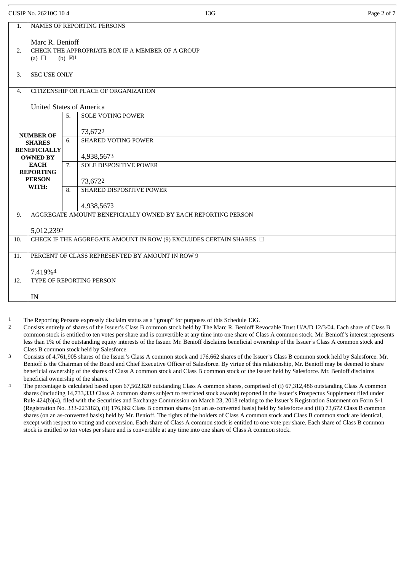| CUSIP No. 26210C 10 4 | 13G | Page 2 of 7 |  |
|-----------------------|-----|-------------|--|
|                       |     |             |  |

| 1.                                                                          |                                                 |    | <b>NAMES OF REPORTING PERSONS</b>                                       |
|-----------------------------------------------------------------------------|-------------------------------------------------|----|-------------------------------------------------------------------------|
|                                                                             | Marc R. Benioff                                 |    |                                                                         |
| CHECK THE APPROPRIATE BOX IF A MEMBER OF A GROUP<br>2.<br>(b) $\boxtimes$ 1 |                                                 |    |                                                                         |
|                                                                             | (a) $\Box$                                      |    |                                                                         |
| 3.                                                                          | <b>SEC USE ONLY</b>                             |    |                                                                         |
| $\overline{4}$ .                                                            |                                                 |    | CITIZENSHIP OR PLACE OF ORGANIZATION                                    |
|                                                                             | <b>United States of America</b>                 |    |                                                                         |
|                                                                             |                                                 | 5. | <b>SOLE VOTING POWER</b>                                                |
|                                                                             | <b>NUMBER OF</b>                                |    | 73,6722                                                                 |
|                                                                             | <b>SHARES</b>                                   | 6. | <b>SHARED VOTING POWER</b>                                              |
|                                                                             | <b>BENEFICIALLY</b><br><b>OWNED BY</b>          |    | 4,938,5673                                                              |
|                                                                             | <b>EACH</b>                                     | 7. | <b>SOLE DISPOSITIVE POWER</b>                                           |
|                                                                             | <b>REPORTING</b><br><b>PERSON</b>               |    | 73,6722                                                                 |
|                                                                             | WITH:                                           | 8. | <b>SHARED DISPOSITIVE POWER</b>                                         |
|                                                                             |                                                 |    | 4,938,5673                                                              |
| 9.                                                                          |                                                 |    | AGGREGATE AMOUNT BENEFICIALLY OWNED BY EACH REPORTING PERSON            |
|                                                                             | 5,012,2392                                      |    |                                                                         |
| 10.                                                                         |                                                 |    | CHECK IF THE AGGREGATE AMOUNT IN ROW (9) EXCLUDES CERTAIN SHARES $\Box$ |
| 11.                                                                         | PERCENT OF CLASS REPRESENTED BY AMOUNT IN ROW 9 |    |                                                                         |
|                                                                             |                                                 |    |                                                                         |
| 12.                                                                         | 7.419%4<br>TYPE OF REPORTING PERSON             |    |                                                                         |
|                                                                             |                                                 |    |                                                                         |
|                                                                             | IN                                              |    |                                                                         |
|                                                                             |                                                 |    |                                                                         |

<sup>1</sup> The Reporting Persons expressly disclaim status as a "group" for purposes of this Schedule 13G.

<sup>2</sup> Consists entirely of shares of the Issuer's Class B common stock held by The Marc R. Benioff Revocable Trust U/A/D 12/3/04. Each share of Class B common stock is entitled to ten votes per share and is convertible at any time into one share of Class A common stock. Mr. Benioff's interest represents less than 1% of the outstanding equity interests of the Issuer. Mr. Benioff disclaims beneficial ownership of the Issuer's Class A common stock and Class B common stock held by Salesforce.

<sup>3</sup> Consists of 4,761,905 shares of the Issuer's Class A common stock and 176,662 shares of the Issuer's Class B common stock held by Salesforce. Mr. Benioff is the Chairman of the Board and Chief Executive Officer of Salesforce. By virtue of this relationship, Mr. Benioff may be deemed to share beneficial ownership of the shares of Class A common stock and Class B common stock of the Issuer held by Salesforce. Mr. Benioff disclaims beneficial ownership of the shares.

<sup>4</sup> The percentage is calculated based upon 67,562,820 outstanding Class A common shares, comprised of (i) 67,312,486 outstanding Class A common shares (including 14,733,333 Class A common shares subject to restricted stock awards) reported in the Issuer's Prospectus Supplement filed under Rule 424(b)(4), filed with the Securities and Exchange Commission on March 23, 2018 relating to the Issuer's Registration Statement on Form S-1 (Registration No. 333-223182), (ii) 176,662 Class B common shares (on an as-converted basis) held by Salesforce and (iii) 73,672 Class B common shares (on an as-converted basis) held by Mr. Benioff. The rights of the holders of Class A common stock and Class B common stock are identical, except with respect to voting and conversion. Each share of Class A common stock is entitled to one vote per share. Each share of Class B common stock is entitled to ten votes per share and is convertible at any time into one share of Class A common stock.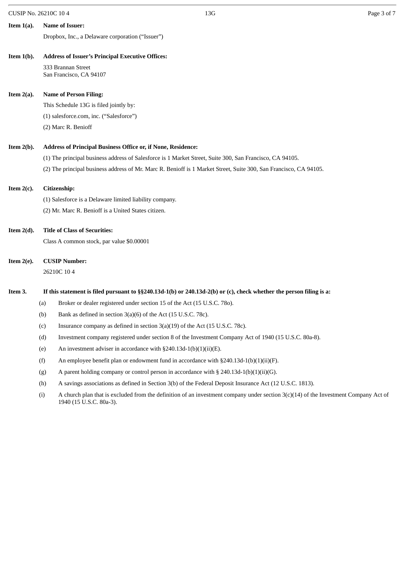| CUSIP No. 26210C 10 4<br>13C |  | Page 3 | 3 of 1 | $\sim$ $\sim$ |  |
|------------------------------|--|--------|--------|---------------|--|
|------------------------------|--|--------|--------|---------------|--|

| Item $1(a)$ . | <b>Name of Issuer:</b> |
|---------------|------------------------|

Dropbox, Inc., a Delaware corporation ("Issuer")

#### **Item 1(b). Address of Issuer's Principal Executive Offices:**

333 Brannan Street San Francisco, CA 94107

## **Item 2(a). Name of Person Filing:**

This Schedule 13G is filed jointly by:

(1) salesforce.com, inc. ("Salesforce")

(2) Marc R. Benioff

## **Item 2(b). Address of Principal Business Office or, if None, Residence:**

- (1) The principal business address of Salesforce is 1 Market Street, Suite 300, San Francisco, CA 94105.
- (2) The principal business address of Mr. Marc R. Benioff is 1 Market Street, Suite 300, San Francisco, CA 94105.

## **Item 2(c). Citizenship:**

(1) Salesforce is a Delaware limited liability company.

(2) Mr. Marc R. Benioff is a United States citizen.

## **Item 2(d). Title of Class of Securities:**

Class A common stock, par value \$0.00001

## **Item 2(e). CUSIP Number:**

26210C 10 4

## Item 3. If this statement is filed pursuant to §§240.13d-1(b) or 240.13d-2(b) or (c), check whether the person filing is a:

- (a) Broker or dealer registered under section 15 of the Act (15 U.S.C. 78o).
- (b) Bank as defined in section 3(a)(6) of the Act (15 U.S.C. 78c).
- (c) Insurance company as defined in section 3(a)(19) of the Act (15 U.S.C. 78c).
- (d) Investment company registered under section 8 of the Investment Company Act of 1940 (15 U.S.C. 80a-8).
- (e) An investment adviser in accordance with  $\S 240.13d-1(b)(1)(ii)(E)$ .
- (f) An employee benefit plan or endowment fund in accordance with §240.13d-1(b)(1)(ii)(F).
- (g) A parent holding company or control person in accordance with  $\S 240.13d-1(b)(1)(ii)(G)$ .
- (h) A savings associations as defined in Section 3(b) of the Federal Deposit Insurance Act (12 U.S.C. 1813).
- (i) A church plan that is excluded from the definition of an investment company under section 3(c)(14) of the Investment Company Act of 1940 (15 U.S.C. 80a-3).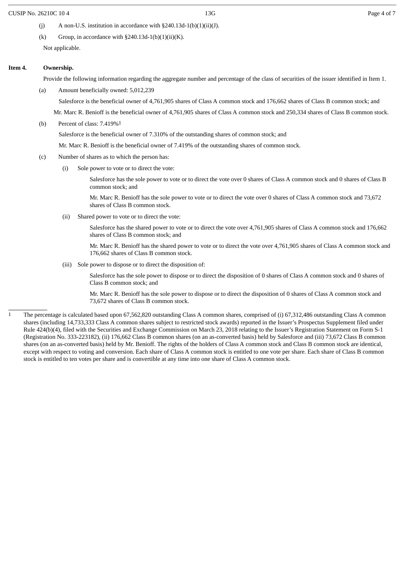#### CUSIP No. 26210C 10 4 **Page 4 of 7 Page 4 of 7 Page 4 of 7 Page 4 of 7 Page 4 of 7**

- (j) A non-U.S. institution in accordance with  $\S 240.13d-1(b)(1)(ii)(J)$ .
- (k) Group, in accordance with  $\S 240.13d-1(b)(1)(ii)(K)$ .

Not applicable.

#### **Item 4. Ownership.**

Provide the following information regarding the aggregate number and percentage of the class of securities of the issuer identified in Item 1.

(a) Amount beneficially owned: 5,012,239

Salesforce is the beneficial owner of 4,761,905 shares of Class A common stock and 176,662 shares of Class B common stock; and

Mr. Marc R. Benioff is the beneficial owner of 4,761,905 shares of Class A common stock and 250,334 shares of Class B common stock.

(b) Percent of class: 7.419%1

Salesforce is the beneficial owner of 7.310% of the outstanding shares of common stock; and

Mr. Marc R. Benioff is the beneficial owner of 7.419% of the outstanding shares of common stock.

- (c) Number of shares as to which the person has:
	- (i) Sole power to vote or to direct the vote:

Salesforce has the sole power to vote or to direct the vote over 0 shares of Class A common stock and 0 shares of Class B common stock; and

Mr. Marc R. Benioff has the sole power to vote or to direct the vote over 0 shares of Class A common stock and 73,672 shares of Class B common stock.

(ii) Shared power to vote or to direct the vote:

Salesforce has the shared power to vote or to direct the vote over 4,761,905 shares of Class A common stock and 176,662 shares of Class B common stock; and

Mr. Marc R. Benioff has the shared power to vote or to direct the vote over 4,761,905 shares of Class A common stock and 176,662 shares of Class B common stock.

(iii) Sole power to dispose or to direct the disposition of:

Salesforce has the sole power to dispose or to direct the disposition of 0 shares of Class A common stock and 0 shares of Class B common stock; and

Mr. Marc R. Benioff has the sole power to dispose or to direct the disposition of 0 shares of Class A common stock and 73,672 shares of Class B common stock.

<sup>1</sup> The percentage is calculated based upon 67,562,820 outstanding Class A common shares, comprised of (i) 67,312,486 outstanding Class A common shares (including 14,733,333 Class A common shares subject to restricted stock awards) reported in the Issuer's Prospectus Supplement filed under Rule 424(b)(4), filed with the Securities and Exchange Commission on March 23, 2018 relating to the Issuer's Registration Statement on Form S-1 (Registration No. 333-223182), (ii) 176,662 Class B common shares (on an as-converted basis) held by Salesforce and (iii) 73,672 Class B common shares (on an as-converted basis) held by Mr. Benioff. The rights of the holders of Class A common stock and Class B common stock are identical, except with respect to voting and conversion. Each share of Class A common stock is entitled to one vote per share. Each share of Class B common stock is entitled to ten votes per share and is convertible at any time into one share of Class A common stock.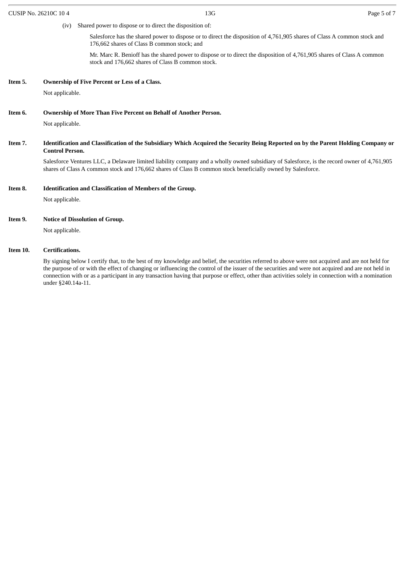(iv) Shared power to dispose or to direct the disposition of:

Salesforce has the shared power to dispose or to direct the disposition of 4,761,905 shares of Class A common stock and 176,662 shares of Class B common stock; and

Mr. Marc R. Benioff has the shared power to dispose or to direct the disposition of 4,761,905 shares of Class A common stock and 176,662 shares of Class B common stock.

#### **Item 5. Ownership of Five Percent or Less of a Class.**

Not applicable.

#### **Item 6. Ownership of More Than Five Percent on Behalf of Another Person.**

Not applicable.

Item 7. Identification and Classification of the Subsidiary Which Acquired the Security Being Reported on by the Parent Holding Company or **Control Person.**

Salesforce Ventures LLC, a Delaware limited liability company and a wholly owned subsidiary of Salesforce, is the record owner of 4,761,905 shares of Class A common stock and 176,662 shares of Class B common stock beneficially owned by Salesforce.

#### **Item 8. Identification and Classification of Members of the Group.**

Not applicable.

#### **Item 9. Notice of Dissolution of Group.**

Not applicable.

#### **Item 10. Certifications.**

By signing below I certify that, to the best of my knowledge and belief, the securities referred to above were not acquired and are not held for the purpose of or with the effect of changing or influencing the control of the issuer of the securities and were not acquired and are not held in connection with or as a participant in any transaction having that purpose or effect, other than activities solely in connection with a nomination under §240.14a-11.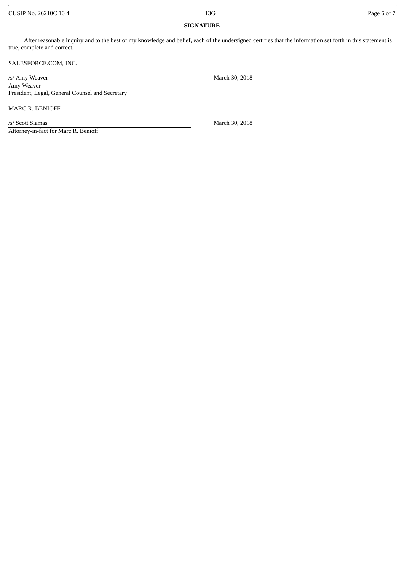#### CUSIP No. 26210C 10 4 Page 6 of 7

## **SIGNATURE**

After reasonable inquiry and to the best of my knowledge and belief, each of the undersigned certifies that the information set forth in this statement is true, complete and correct.

SALESFORCE.COM, INC.

Amy Weaver President, Legal, General Counsel and Secretary

MARC R. BENIOFF

/s/ Scott Siamas March 30, 2018

Attorney-in-fact for Marc R. Benioff

/s/ Amy Weaver March 30, 2018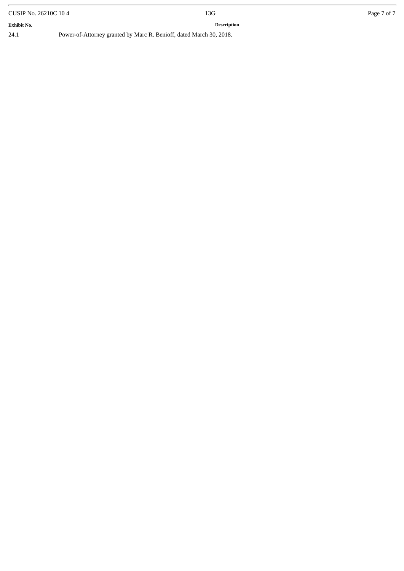| CUSIP No. 26210C 10 4 |  | 13G                                                                 | Page 7 of 7 |
|-----------------------|--|---------------------------------------------------------------------|-------------|
| <b>Exhibit No.</b>    |  | <b>Description</b>                                                  |             |
| 24.1                  |  | Power-of-Attorney granted by Marc R. Benioff, dated March 30, 2018. |             |